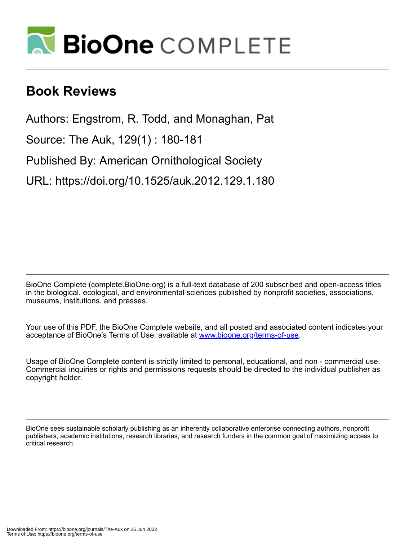

## **Book Reviews**

Authors: Engstrom, R. Todd, and Monaghan, Pat

Source: The Auk, 129(1) : 180-181

Published By: American Ornithological Society

URL: https://doi.org/10.1525/auk.2012.129.1.180

BioOne Complete (complete.BioOne.org) is a full-text database of 200 subscribed and open-access titles in the biological, ecological, and environmental sciences published by nonprofit societies, associations, museums, institutions, and presses.

Your use of this PDF, the BioOne Complete website, and all posted and associated content indicates your acceptance of BioOne's Terms of Use, available at www.bioone.org/terms-of-use.

Usage of BioOne Complete content is strictly limited to personal, educational, and non - commercial use. Commercial inquiries or rights and permissions requests should be directed to the individual publisher as copyright holder.

BioOne sees sustainable scholarly publishing as an inherently collaborative enterprise connecting authors, nonprofit publishers, academic institutions, research libraries, and research funders in the common goal of maximizing access to critical research.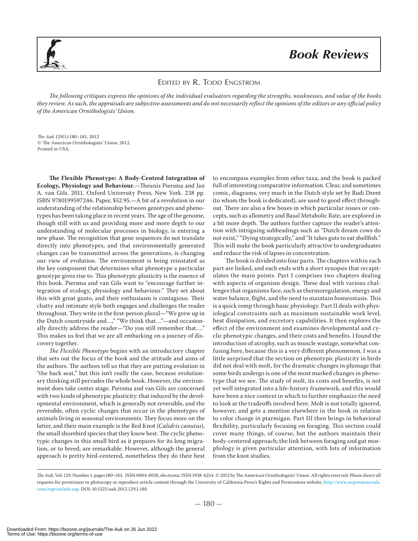

## *Book Reviews*

## EDITED BY R. TODD ENGSTROM

The following critiques express the opinions of the individual evaluators regarding the strengths, weaknesses, and value of the books they review. As such, the appraisals are subjective assessments and do not necessarily reflect the opinions of the editors or any official policy of the American Ornithologists' Union.

The Auk 129(1):180–181, 2012 © The American Ornithologists' Union, 2012. Printed in USA.

**The Flexible Phenotype: A Body-Centred Integration of Ecology, Physiology and Behaviour**.—Theunis Piersma and Jan A. van Gils. 2011. Oxford University Press, New York. 238 pp. ISBN 9780199597246. Paper, \$52.95.—A bit of a revolution in our understanding of the relationship between genotypes and phenotypes has been taking place in recent years. The age of the genome, though still with us and providing more and more depth to our understanding of molecular processes in biology, is entering a new phase. The recognition that gene sequences do not translate directly into phenotypes, and that environmentally generated changes can be transmitted across the generations, is changing our view of evolution. The environment is being reinstated as the key component that determines what phenotype a particular genotype gives rise to. This phenotypic plasticity is the essence of this book. Piersma and van Gils want to "encourage further integration of ecology, physiology and behaviour." They set about this with great gusto, and their enthusiasm is contagious. Their chatty and intimate style both engages and challenges the reader throughout. They write in the first-person plural—"We grew up in the Dutch countryside and…," "We think that…"—and occasionally directly address the reader—"Do you still remember that…." This makes us feel that we are all embarking on a journey of discovery together.

The Flexible Phenotype begins with an introductory chapter that sets out the focus of the book and the attitude and aims of the authors. The authors tell us that they are putting evolution in "the back seat," but this isn't really the case, because evolutionary thinking still pervades the whole book. However, the environment does take center stage. Piersma and van Gils are concerned with two kinds of phenotypic plasticity: that induced by the developmental environment, which is generally not reversible, and the reversible, often cyclic changes that occur in the phenotypes of animals living in seasonal environments. They focus more on the latter, and their main example is the Red Knot (Calidris canutus), the small shorebird species that they know best. The cyclic phenotypic changes in this small bird as it prepares for its long migration, or to breed, are remarkable. However, although the general approach is pretty bird-centered, nonetheless they do their best

to encompass examples from other taxa, and the book is packed full of interesting comparative information. Clear, and sometimes comic, diagrams, very much in the Dutch style set by Rudi Drent (to whom the book is dedicated), are used to good effect throughout. There are also a few boxes in which particular issues or concepts, such as allometry and Basal Metabolic Rate, are explored in a bit more depth. The authors further capture the reader's attention with intriguing subheadings such as "Dutch dream cows do not exist," "Dying strategically," and "It takes guts to eat shellfish." This will make the book particularly attractive to undergraduates and reduce the risk of lapses in concentration.

The book is divided into four parts. The chapters within each part are linked, and each ends with a short synopsis that recapitulates the main points. Part I comprises two chapters dealing with aspects of organism design. These deal with various challenges that organisms face, such as thermoregulation, energy and water balance, flight, and the need to maintain homeostasis. This is a quick romp through basic physiology. Part II deals with physiological constraints such as maximum sustainable work level, heat dissipation, and excretory capabilities. It then explores the effect of the environment and examines developmental and cyclic phenotypic changes, and their costs and benefits. I found the introduction of atrophy, such as muscle wastage, somewhat confusing here, because this is a very different phenomenon. I was a little surprised that the section on phenotypic plasticity in birds did not deal with molt, for the dramatic changes in plumage that some birds undergo is one of the most marked changes in phenotype that we see. The study of molt, its costs and benefits, is not yet well integrated into a life-history framework, and this would have been a nice context in which to further emphasize the need to look at the tradeoffs involved here. Molt is not totally ignored, however, and gets a mention elsewhere in the book in relation to color change in ptarmigan. Part III then brings in behavioral flexibility, particularly focusing on foraging. This section could cover many things, of course, but the authors maintain their body-centered approach; the link between foraging and gut morphology is given particular attention, with lots of information from the knot studies.

The Auk, Vol. 129, Number 1, pages 180-184. ISSN 0004-8038, electronic ISSN 1938-4254. © 2012 by The American Ornithologists' Union. All rights reserved. Please direct all requests for permission to photocopy or reproduce article content through the University of California Press's Rights and Permissions website, http://www.ucpressjournals. com/reprintInfo.asp. DOI: 10.1525/auk.2012.129.1.180